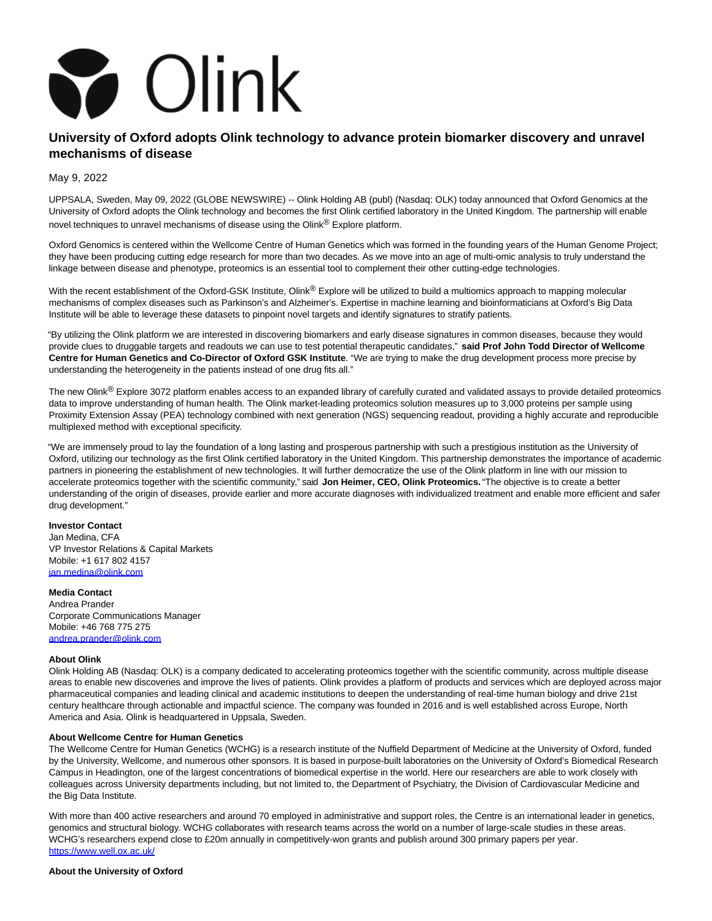

# **University of Oxford adopts Olink technology to advance protein biomarker discovery and unravel mechanisms of disease**

May 9, 2022

UPPSALA, Sweden, May 09, 2022 (GLOBE NEWSWIRE) -- Olink Holding AB (publ) (Nasdaq: OLK) today announced that Oxford Genomics at the University of Oxford adopts the Olink technology and becomes the first Olink certified laboratory in the United Kingdom. The partnership will enable novel techniques to unravel mechanisms of disease using the Olink® Explore platform.

Oxford Genomics is centered within the Wellcome Centre of Human Genetics which was formed in the founding years of the Human Genome Project; they have been producing cutting edge research for more than two decades. As we move into an age of multi-omic analysis to truly understand the linkage between disease and phenotype, proteomics is an essential tool to complement their other cutting-edge technologies.

With the recent establishment of the Oxford-GSK Institute, Olink<sup>®</sup> Explore will be utilized to build a multiomics approach to mapping molecular mechanisms of complex diseases such as Parkinson's and Alzheimer's. Expertise in machine learning and bioinformaticians at Oxford's Big Data Institute will be able to leverage these datasets to pinpoint novel targets and identify signatures to stratify patients.

"By utilizing the Olink platform we are interested in discovering biomarkers and early disease signatures in common diseases, because they would provide clues to druggable targets and readouts we can use to test potential therapeutic candidates," **said Prof John Todd Director of Wellcome Centre for Human Genetics and Co-Director of Oxford GSK Institute**. "We are trying to make the drug development process more precise by understanding the heterogeneity in the patients instead of one drug fits all."

The new Olink<sup>®</sup> Explore 3072 platform enables access to an expanded library of carefully curated and validated assays to provide detailed proteomics data to improve understanding of human health. The Olink market-leading proteomics solution measures up to 3,000 proteins per sample using Proximity Extension Assay (PEA) technology combined with next generation (NGS) sequencing readout, providing a highly accurate and reproducible multiplexed method with exceptional specificity.

"We are immensely proud to lay the foundation of a long lasting and prosperous partnership with such a prestigious institution as the University of Oxford, utilizing our technology as the first Olink certified laboratory in the United Kingdom. This partnership demonstrates the importance of academic partners in pioneering the establishment of new technologies. It will further democratize the use of the Olink platform in line with our mission to accelerate proteomics together with the scientific community," said **Jon Heimer, CEO, Olink Proteomics.** "The objective is to create a better understanding of the origin of diseases, provide earlier and more accurate diagnoses with individualized treatment and enable more efficient and safer drug development."

# **Investor Contact**

Jan Medina, CFA VP Investor Relations & Capital Markets Mobile: +1 617 802 4157 [jan.medina@olink.com](https://www.globenewswire.com/Tracker?data=y5sG9W1znwWjkG8I-YEYl8t-iTtjrt-Fyd-ke78-TwNKg_hvIK1mty0ez5Va-eaGMycqqCTflZ9TzcO774dVHZ_43j1iMtqCx1GIb9xubcg=)

## **Media Contact**

Andrea Prander Corporate Communications Manager Mobile: +46 768 775 275 [andrea.prander@olink.com](https://www.globenewswire.com/Tracker?data=2saIzHFTSfcNpy531WRrxHh3qPq0bkY4vSXxQXqAq8EqrGzu-X37IyhvmdT7S-WSYXBQH8_Uxwo99kgbAANYfNSdKwat5MAxDEeGNuEdxCM=) 

### **About Olink**

Olink Holding AB (Nasdaq: OLK) is a company dedicated to accelerating proteomics together with the scientific community, across multiple disease areas to enable new discoveries and improve the lives of patients. Olink provides a platform of products and services which are deployed across major pharmaceutical companies and leading clinical and academic institutions to deepen the understanding of real-time human biology and drive 21st century healthcare through actionable and impactful science. The company was founded in 2016 and is well established across Europe, North America and Asia. Olink is headquartered in Uppsala, Sweden.

#### **About Wellcome Centre for Human Genetics**

The Wellcome Centre for Human Genetics (WCHG) is a research institute of the Nuffield Department of Medicine at the University of Oxford, funded by the University, Wellcome, and numerous other sponsors. It is based in purpose-built laboratories on the University of Oxford's Biomedical Research Campus in Headington, one of the largest concentrations of biomedical expertise in the world. Here our researchers are able to work closely with colleagues across University departments including, but not limited to, the Department of Psychiatry, the Division of Cardiovascular Medicine and the Big Data Institute.

With more than 400 active researchers and around 70 employed in administrative and support roles, the Centre is an international leader in genetics, genomics and structural biology. WCHG collaborates with research teams across the world on a number of large-scale studies in these areas. WCHG's researchers expend close to £20m annually in competitively-won grants and publish around 300 primary papers per year. [https://www.well.ox.ac.uk/](https://www.globenewswire.com/Tracker?data=nDc1qC5ypB7P0y6ErUrUE433UxKYZKIiylgH5DcMVRft-Kowb_bgG4wLsl65H-VhEDm_TD0igmFc6T7wieiE5_YpGb7M9VrwZIluwDxlMvE=)

#### **About the University of Oxford**